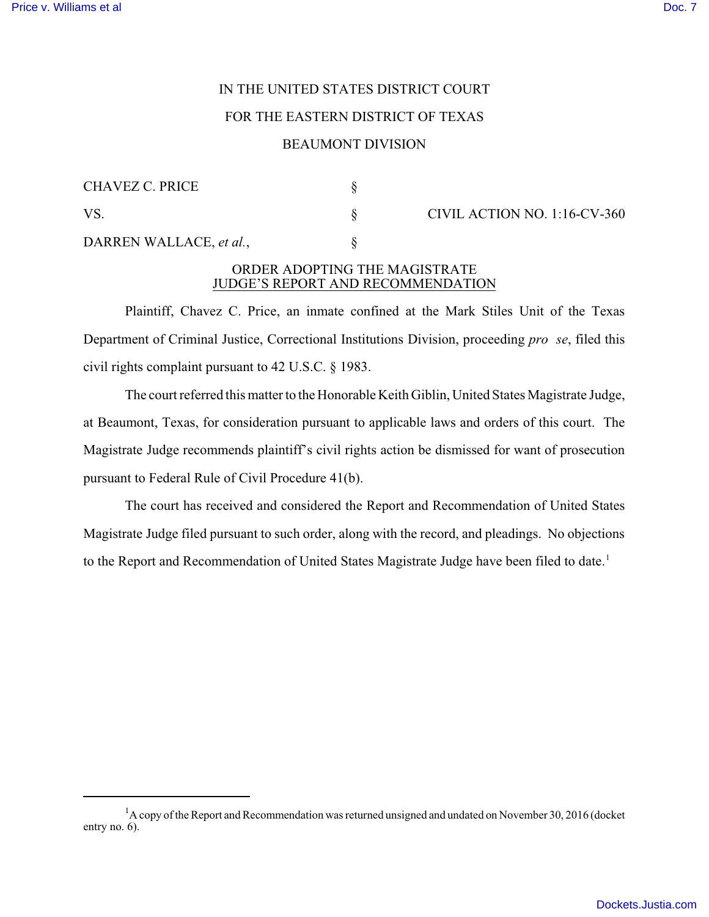## IN THE UNITED STATES DISTRICT COURT FOR THE EASTERN DISTRICT OF TEXAS BEAUMONT DIVISION

## CHAVEZ C. PRICE § VS. S CIVIL ACTION NO. 1:16-CV-360 DARREN WALLACE, *et al.*,

## ORDER ADOPTING THE MAGISTRATE JUDGE'S REPORT AND RECOMMENDATION

Plaintiff, Chavez C. Price, an inmate confined at the Mark Stiles Unit of the Texas Department of Criminal Justice, Correctional Institutions Division, proceeding *pro se*, filed this civil rights complaint pursuant to 42 U.S.C. § 1983.

The court referred this matter to the Honorable Keith Giblin, United States Magistrate Judge, at Beaumont, Texas, for consideration pursuant to applicable laws and orders of this court. The Magistrate Judge recommends plaintiff's civil rights action be dismissed for want of prosecution pursuant to Federal Rule of Civil Procedure 41(b).

The court has received and considered the Report and Recommendation of United States Magistrate Judge filed pursuant to such order, along with the record, and pleadings. No objections to the Report and Recommendation of United States Magistrate Judge have been filed to date.<sup>1</sup>

 $1/4$  copy of the Report and Recommendation was returned unsigned and undated on November 30, 2016 (docket entry no. 6).